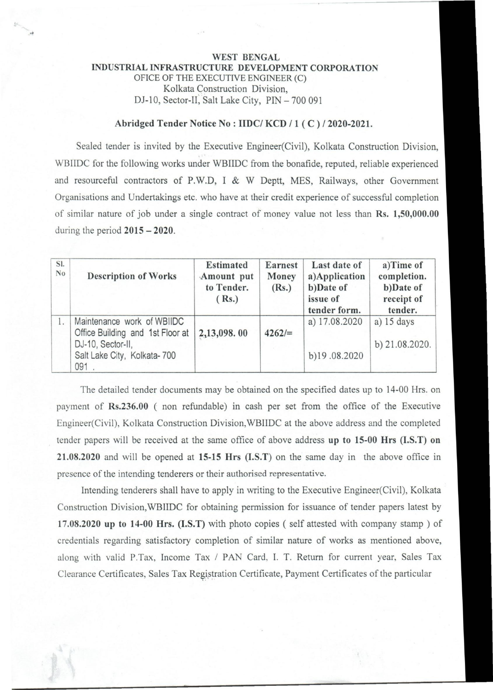## WEST BENGAL INDUSTRIAL INFRASTRUCTURE DEVELOPMENT CORPORATION OFICE OF THE EXECUTIVE ENGINEER (C) Kolkata Construction Division, DJ-10, Sector-II, Salt Lake City, PIN - 700 091

..

 $\delta\in$ 

## Abridged Tender Notice No : IIDC/ KCD / 1 ( C ) / 2020-2021.

Sealed tender is invited by the Executive Engineer(Civil), Kolkata Construction Division, WBIIDC for the following works under WBIIDC from the bonafide, reputed, reliable experienced and resourceful contractors of P.W.D, I & W Deptt, MES, Railways, other Government Organisations and Undertakings etc. who have at their credit experience of successful completion of similar nature of job under a single contract of money value not less than Rs. 1,50,000.00 during the period  $2015 - 2020$ .

| SI.<br>N <sub>0</sub> | <b>Description of Works</b>                                                                                               | <b>Estimated</b><br>Amount put<br>to Tender.<br>(Rs.) | <b>Earnest</b><br>Money<br>(Rs.) | Last date of<br>a)Application<br>b)Date of<br>issue of<br>tender form. | a)Time of<br>completion.<br>b)Date of<br>receipt of<br>tender. |
|-----------------------|---------------------------------------------------------------------------------------------------------------------------|-------------------------------------------------------|----------------------------------|------------------------------------------------------------------------|----------------------------------------------------------------|
|                       | Maintenance work of WBIIDC<br>Office Building and 1st Floor at<br>DJ-10, Sector-II,<br>Salt Lake City, Kolkata-700<br>091 | 2,13,098.00                                           | $4262/=$                         | a) 17.08.2020<br>b)19.08.2020                                          | a) $15 \text{ days}$<br>b) 21.08.2020.                         |

The detailed tender documents may be obtained on the specified dates up to 14-00 Hrs. on payment of Rs.236.00 ( non refundable) in cash per set from the office of the Executive Engineer(Civil), Kolkata Construction Division,WBIIDC at the above address and the completed tender papers will be received at the same office of above address up to 15-00 Hrs (I.S.T) on  $21.08.2020$  and will be opened at  $15-15$  Hrs  $(I.S.T)$  on the same day in the above office in presence of the intending tenderers or their authorised representative.

Intending tenderers shall have to apply in writing to the Executive Engineer(Civil), Kolkata Construction Division,WBIIDC for obtaining permission for issuance of tender papers latest by 17.08.2020 up to 14-00 Hrs. (I.S.T) with photo copies ( self attested with company stamp) of credentials regarding satisfactory completion of similar nature of works as mentioned above, along with valid P.Tax, Income Tax / PAN Card, I. T. Return for current year, Sales Tax Clearance Certificates, Sales Tax Registration Certificate, Payment Certificates of the particular